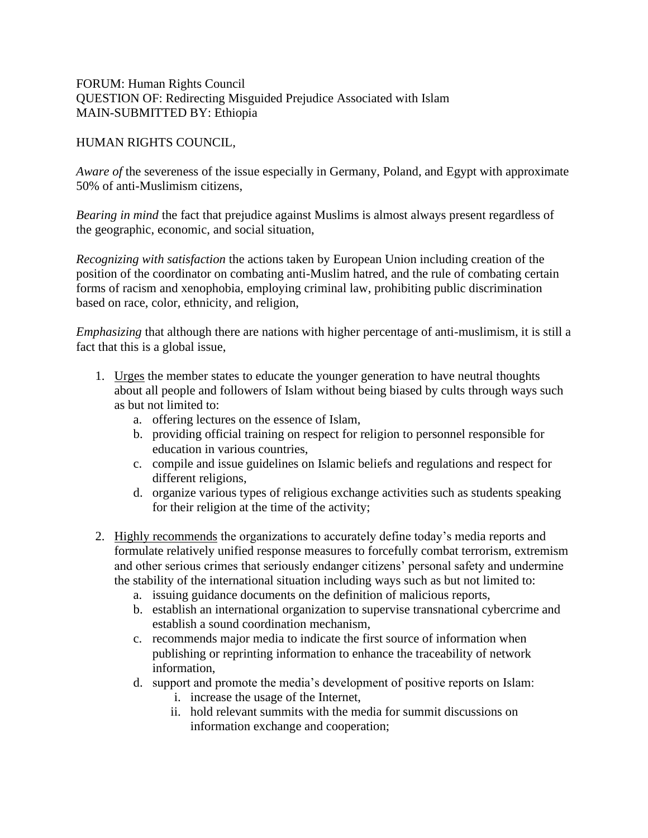## FORUM: Human Rights Council QUESTION OF: Redirecting Misguided Prejudice Associated with Islam MAIN-SUBMITTED BY: Ethiopia

## HUMAN RIGHTS COUNCIL,

*Aware of the severeness of the issue especially in Germany, Poland, and Egypt with approximate* 50% of anti-Muslimism citizens,

*Bearing in mind* the fact that prejudice against Muslims is almost always present regardless of the geographic, economic, and social situation,

*Recognizing with satisfaction* the actions taken by European Union including creation of the position of the coordinator on combating anti-Muslim hatred, and the rule of combating certain forms of racism and xenophobia, employing criminal law, prohibiting public discrimination based on race, color, ethnicity, and religion,

*Emphasizing* that although there are nations with higher percentage of anti-muslimism, it is still a fact that this is a global issue,

- 1. Urges the member states to educate the younger generation to have neutral thoughts about all people and followers of Islam without being biased by cults through ways such as but not limited to:
	- a. offering lectures on the essence of Islam,
	- b. providing official training on respect for religion to personnel responsible for education in various countries,
	- c. compile and issue guidelines on Islamic beliefs and regulations and respect for different religions,
	- d. organize various types of religious exchange activities such as students speaking for their religion at the time of the activity;
- 2. Highly recommends the organizations to accurately define today's media reports and formulate relatively unified response measures to forcefully combat terrorism, extremism and other serious crimes that seriously endanger citizens' personal safety and undermine the stability of the international situation including ways such as but not limited to:
	- a. issuing guidance documents on the definition of malicious reports,
	- b. establish an international organization to supervise transnational cybercrime and establish a sound coordination mechanism,
	- c. recommends major media to indicate the first source of information when publishing or reprinting information to enhance the traceability of network information,
	- d. support and promote the media's development of positive reports on Islam:
		- i. increase the usage of the Internet,
		- ii. hold relevant summits with the media for summit discussions on information exchange and cooperation;